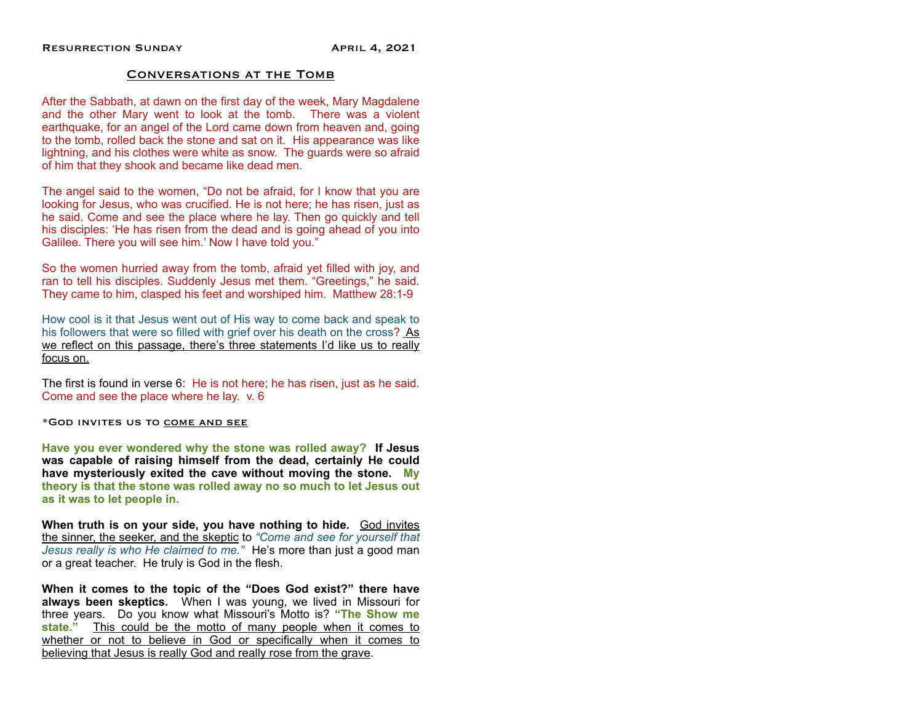## Conversations at the Tomb

After the Sabbath, at dawn on the first day of the week, Mary Magdalene and the other Mary went to look at the tomb. There was a violent earthquake, for an angel of the Lord came down from heaven and, going to the tomb, rolled back the stone and sat on it. His appearance was like lightning, and his clothes were white as snow. The guards were so afraid of him that they shook and became like dead men.

The angel said to the women, "Do not be afraid, for I know that you are looking for Jesus, who was crucified. He is not here; he has risen, just as he said. Come and see the place where he lay. Then go quickly and tell his disciples: 'He has risen from the dead and is going ahead of you into Galilee. There you will see him.' Now I have told you."

So the women hurried away from the tomb, afraid yet filled with joy, and ran to tell his disciples. Suddenly Jesus met them. "Greetings," he said. They came to him, clasped his feet and worshiped him. Matthew 28:1-9

How cool is it that Jesus went out of His way to come back and speak to his followers that were so filled with grief over his death on the cross? As we reflect on this passage, there's three statements I'd like us to really focus on.

The first is found in verse 6: He is not here; he has risen, just as he said. Come and see the place where he lay. v. 6

\*God invites us to come and see

**Have you ever wondered why the stone was rolled away? If Jesus was capable of raising himself from the dead, certainly He could have mysteriously exited the cave without moving the stone. My theory is that the stone was rolled away no so much to let Jesus out as it was to let people in.**

**When truth is on your side, you have nothing to hide.** God invites the sinner, the seeker, and the skeptic to *"Come and see for yourself that Jesus really is who He claimed to me."* He's more than just a good man or a great teacher. He truly is God in the flesh.

**When it comes to the topic of the "Does God exist?" there have always been skeptics.** When I was young, we lived in Missouri for three years. Do you know what Missouri's Motto is? **"The Show me state."** This could be the motto of many people when it comes to whether or not to believe in God or specifically when it comes to believing that Jesus is really God and really rose from the grave.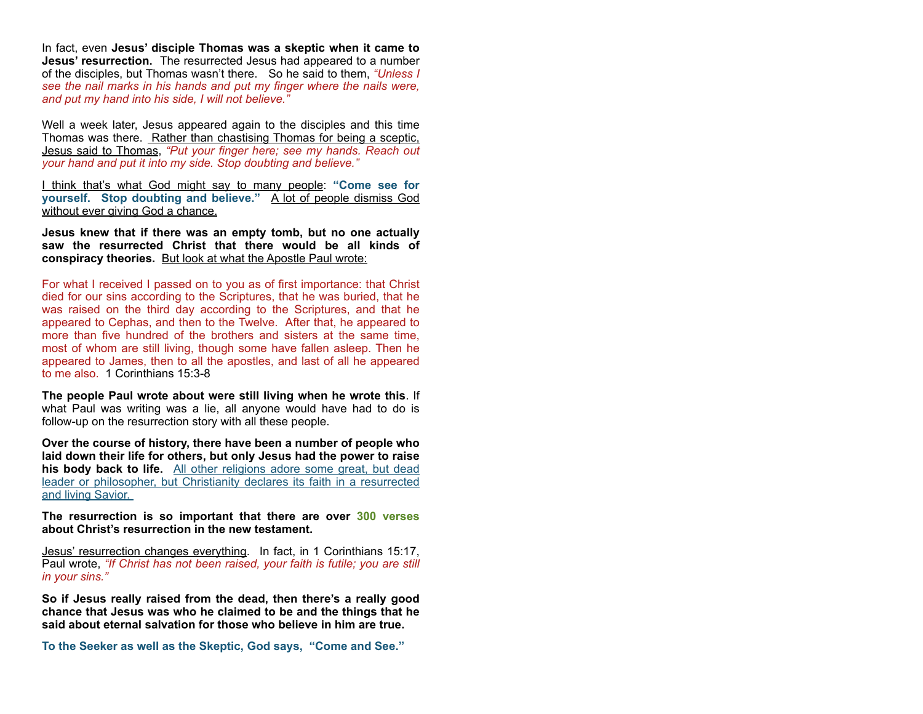In fact, even **Jesus' disciple Thomas was a skeptic when it came to Jesus' resurrection.** The resurrected Jesus had appeared to a number of the disciples, but Thomas wasn't there. So he said to them, *"Unless I see the nail marks in his hands and put my finger where the nails were, and put my hand into his side, I will not believe."*

Well a week later, Jesus appeared again to the disciples and this time Thomas was there. Rather than chastising Thomas for being a sceptic, Jesus said to Thomas, *"Put your finger here; see my hands. Reach out your hand and put it into my side. Stop doubting and believe."*

I think that's what God might say to many people: **"Come see for yourself. Stop doubting and believe."** A lot of people dismiss God without ever giving God a chance.

**Jesus knew that if there was an empty tomb, but no one actually saw the resurrected Christ that there would be all kinds of conspiracy theories.** But look at what the Apostle Paul wrote:

For what I received I passed on to you as of first importance: that Christ died for our sins according to the Scriptures, that he was buried, that he was raised on the third day according to the Scriptures, and that he appeared to Cephas, and then to the Twelve. After that, he appeared to more than five hundred of the brothers and sisters at the same time, most of whom are still living, though some have fallen asleep. Then he appeared to James, then to all the apostles, and last of all he appeared to me also. 1 Corinthians 15:3-8

**The people Paul wrote about were still living when he wrote this**. If what Paul was writing was a lie, all anyone would have had to do is follow-up on the resurrection story with all these people.

**Over the course of history, there have been a number of people who laid down their life for others, but only Jesus had the power to raise his body back to life.** All other religions adore some great, but dead leader or philosopher, but Christianity declares its faith in a resurrected and living Savior.

**The resurrection is so important that there are over 300 verses about Christ's resurrection in the new testament.** 

Jesus' resurrection changes everything. In fact, in 1 Corinthians 15:17, Paul wrote, *"If Christ has not been raised, your faith is futile; you are still in your sins."*

**So if Jesus really raised from the dead, then there's a really good chance that Jesus was who he claimed to be and the things that he said about eternal salvation for those who believe in him are true.** 

**To the Seeker as well as the Skeptic, God says, "Come and See."**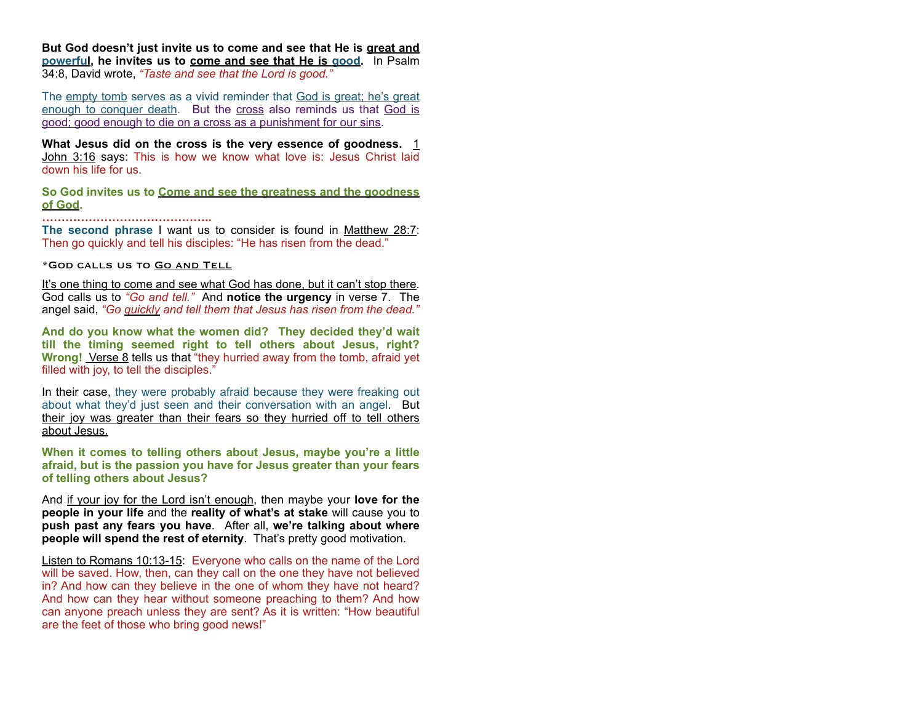**But God doesn't just invite us to come and see that He is great and powerful, he invites us to come and see that He is good.** In Psalm 34:8, David wrote, *"Taste and see that the Lord is good."* 

The empty tomb serves as a vivid reminder that God is great; he's great enough to conquer death. But the cross also reminds us that God is good; good enough to die on a cross as a punishment for our sins.

What Jesus did on the cross is the very essence of goodness. 1 John 3:16 says: This is how we know what love is: Jesus Christ laid down his life for us.

**So God invites us to Come and see the greatness and the goodness of God. ……………………………………..**

**The second phrase** I want us to consider is found in Matthew 28:7: Then go quickly and tell his disciples: "He has risen from the dead."

## \*God calls us to Go and Tell

It's one thing to come and see what God has done, but it can't stop there. God calls us to *"Go and tell."* And **notice the urgency** in verse 7. The angel said, *"Go quickly and tell them that Jesus has risen from the dead."*

**And do you know what the women did? They decided they'd wait till the timing seemed right to tell others about Jesus, right? Wrong!** Verse 8 tells us that "they hurried away from the tomb, afraid yet filled with joy, to tell the disciples."

In their case, they were probably afraid because they were freaking out about what they'd just seen and their conversation with an angel. But their joy was greater than their fears so they hurried off to tell others about Jesus.

**When it comes to telling others about Jesus, maybe you're a little afraid, but is the passion you have for Jesus greater than your fears of telling others about Jesus?** 

And if your joy for the Lord isn't enough, then maybe your **love for the people in your life** and the **reality of what's at stake** will cause you to **push past any fears you have**. After all, **we're talking about where people will spend the rest of eternity**. That's pretty good motivation.

Listen to Romans 10:13-15: Everyone who calls on the name of the Lord will be saved. How, then, can they call on the one they have not believed in? And how can they believe in the one of whom they have not heard? And how can they hear without someone preaching to them? And how can anyone preach unless they are sent? As it is written: "How beautiful are the feet of those who bring good news!"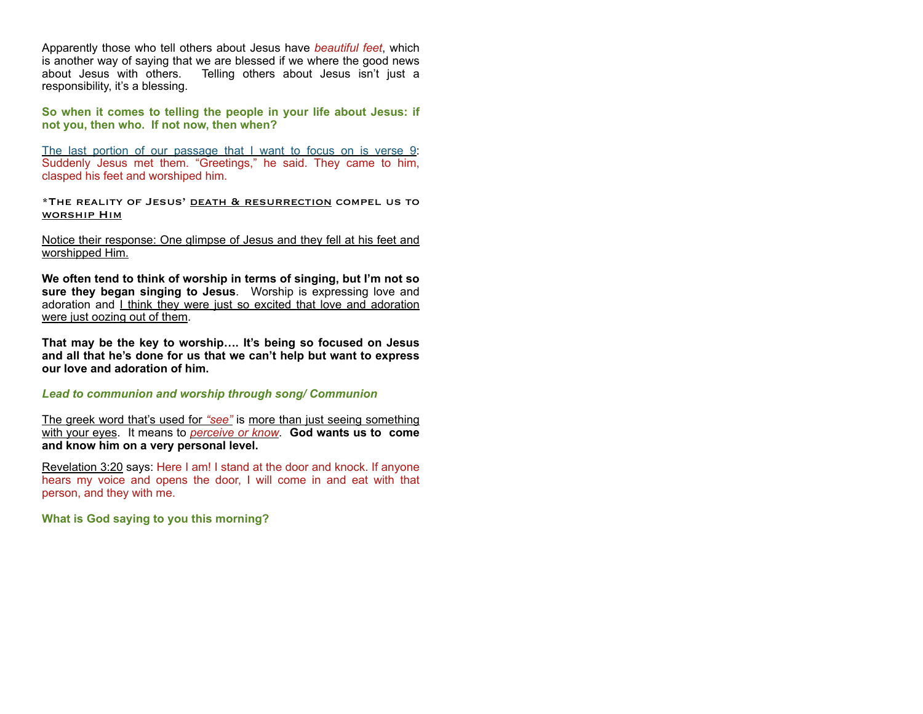Apparently those who tell others about Jesus have *beautiful feet*, which is another way of saying that we are blessed if we where the good news about Jesus with others. Telling others about Jesus isn't just a responsibility, it's a blessing.

**So when it comes to telling the people in your life about Jesus: if not you, then who. If not now, then when?** 

The last portion of our passage that I want to focus on is verse 9: Suddenly Jesus met them. "Greetings," he said. They came to him, clasped his feet and worshiped him.

\*The reality of Jesus' death & resurrection compel us to worship Him

Notice their response: One glimpse of Jesus and they fell at his feet and worshipped Him.

**We often tend to think of worship in terms of singing, but I'm not so sure they began singing to Jesus**. Worship is expressing love and adoration and I think they were just so excited that love and adoration were just oozing out of them.

**That may be the key to worship…. It's being so focused on Jesus and all that he's done for us that we can't help but want to express our love and adoration of him.** 

*Lead to communion and worship through song/ Communion* 

The greek word that's used for *"see"* is more than just seeing something with your eyes. It means to *perceive or know*. **God wants us to come and know him on a very personal level.**

Revelation 3:20 says: Here I am! I stand at the door and knock. If anyone hears my voice and opens the door. I will come in and eat with that person, and they with me.

**What is God saying to you this morning?**